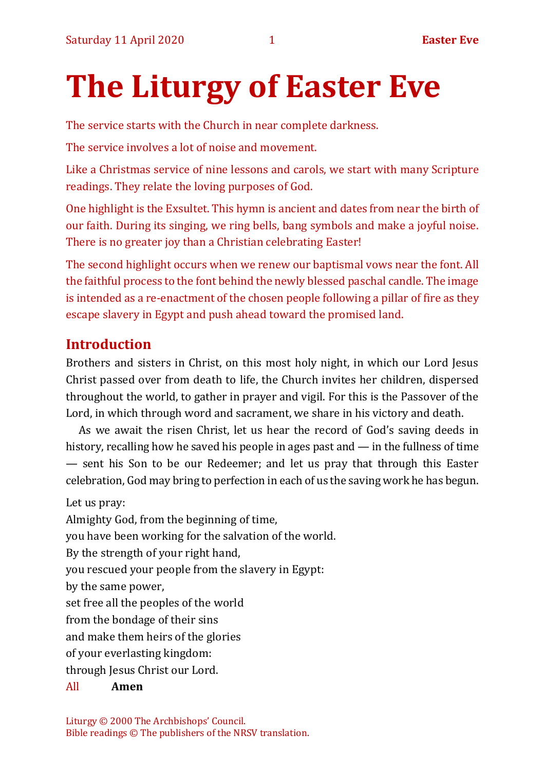# **The Liturgy of Easter Eve**

The service starts with the Church in near complete darkness.

The service involves a lot of noise and movement.

Like a Christmas service of nine lessons and carols, we start with many Scripture readings. They relate the loving purposes of God.

One highlight is the Exsultet. This hymn is ancient and dates from near the birth of our faith. During its singing, we ring bells, bang symbols and make a joyful noise. There is no greater joy than a Christian celebrating Easter!

The second highlight occurs when we renew our baptismal vows near the font. All the faithful process to the font behind the newly blessed paschal candle. The image is intended as a re-enactment of the chosen people following a pillar of fire as they escape slavery in Egypt and push ahead toward the promised land.

# **Introduction**

Brothers and sisters in Christ, on this most holy night, in which our Lord Jesus Christ passed over from death to life, the Church invites her children, dispersed throughout the world, to gather in prayer and vigil. For this is the Passover of the Lord, in which through word and sacrament, we share in his victory and death.

As we await the risen Christ, let us hear the record of God's saving deeds in history, recalling how he saved his people in ages past and — in the fullness of time — sent his Son to be our Redeemer; and let us pray that through this Easter celebration, God may bring to perfection in each of us the saving work he has begun.

Let us pray:

Almighty God, from the beginning of time,

you have been working for the salvation of the world.

By the strength of your right hand,

you rescued your people from the slavery in Egypt:

by the same power,

set free all the peoples of the world

from the bondage of their sins

and make them heirs of the glories

of your everlasting kingdom:

through Jesus Christ our Lord.

# All **Amen**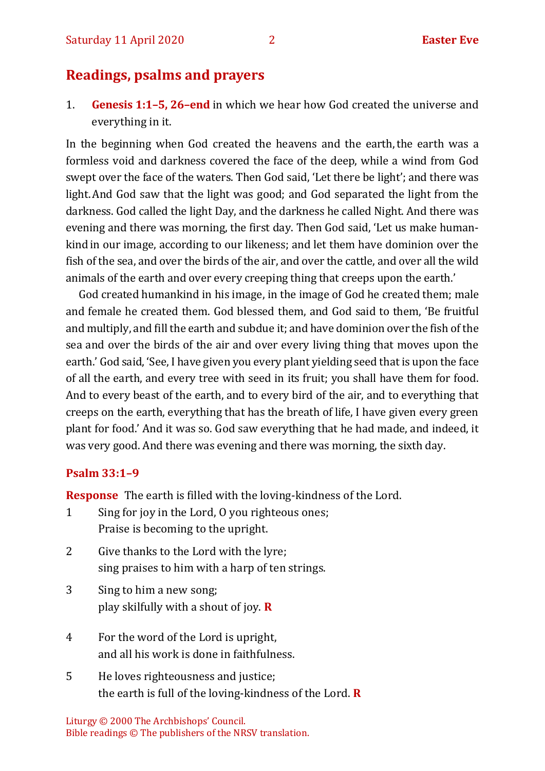# **Readings, psalms and prayers**

1. **Genesis 1:1–5, 26–end** in which we hear how God created the universe and everything in it.

In the beginning when God created the heavens and the earth, the earth was a formless void and darkness covered the face of the deep, while a wind from God swept over the face of the waters. Then God said, 'Let there be light'; and there was light.And God saw that the light was good; and God separated the light from the darkness. God called the light Day, and the darkness he called Night. And there was evening and there was morning, the first day. Then God said, 'Let us make humankind in our image, according to our likeness; and let them have dominion over the fish of the sea, and over the birds of the air, and over the cattle, and over all the wild animals of the earth and over every creeping thing that creeps upon the earth.'

God created humankind in his image, in the image of God he created them; male and female he created them. God blessed them, and God said to them, 'Be fruitful and multiply, and fill the earth and subdue it; and have dominion over the fish of the sea and over the birds of the air and over every living thing that moves upon the earth.' God said, 'See, I have given you every plant yielding seed that is upon the face of all the earth, and every tree with seed in its fruit; you shall have them for food. And to every beast of the earth, and to every bird of the air, and to everything that creeps on the earth, everything that has the breath of life, I have given every green plant for food.' And it was so. God saw everything that he had made, and indeed, it was very good. And there was evening and there was morning, the sixth day.

#### **Psalm 33:1–9**

**Response** The earth is filled with the loving-kindness of the Lord.

- 1 Sing for joy in the Lord, O you righteous ones; Praise is becoming to the upright.
- 2 Give thanks to the Lord with the lyre; sing praises to him with a harp of ten strings.
- 3 Sing to him a new song; play skilfully with a shout of joy. **R**
- 4 For the word of the Lord is upright, and all his work is done in faithfulness.
- 5 He loves righteousness and justice; the earth is full of the loving-kindness of the Lord. **R**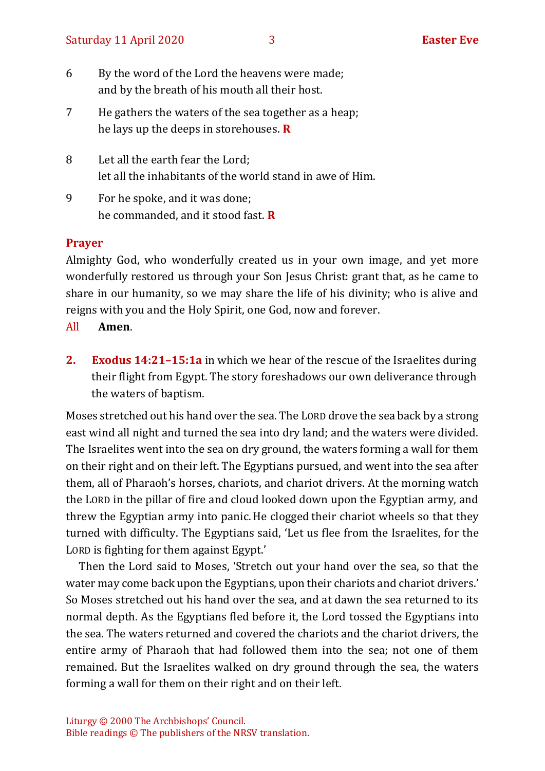| 6 | By the word of the Lord the heavens were made; |
|---|------------------------------------------------|
|   | and by the breath of his mouth all their host. |

- 7 He gathers the waters of the sea together as a heap; he lays up the deeps in storehouses. **R**
- 8 Let all the earth fear the Lord; let all the inhabitants of the world stand in awe of Him.
- 9 For he spoke, and it was done; he commanded, and it stood fast. **R**

#### **Prayer**

Almighty God, who wonderfully created us in your own image, and yet more wonderfully restored us through your Son Jesus Christ: grant that, as he came to share in our humanity, so we may share the life of his divinity; who is alive and reigns with you and the Holy Spirit, one God, now and forever.

- All **Amen**.
- **2. Exodus 14:21–15:1a** in which we hear of the rescue of the Israelites during their flight from Egypt. The story foreshadows our own deliverance through the waters of baptism.

Moses stretched out his hand over the sea. The LORD drove the sea back by a strong east wind all night and turned the sea into dry land; and the waters were divided. The Israelites went into the sea on dry ground, the waters forming a wall for them on their right and on their left. The Egyptians pursued, and went into the sea after them, all of Pharaoh's horses, chariots, and chariot drivers. At the morning watch the LORD in the pillar of fire and cloud looked down upon the Egyptian army, and threw the Egyptian army into panic.He clogged their chariot wheels so that they turned with difficulty. The Egyptians said, 'Let us flee from the Israelites, for the LORD is fighting for them against Egypt.'

Then the Lord said to Moses, 'Stretch out your hand over the sea, so that the water may come back upon the Egyptians, upon their chariots and chariot drivers.' So Moses stretched out his hand over the sea, and at dawn the sea returned to its normal depth. As the Egyptians fled before it, the Lord tossed the Egyptians into the sea. The waters returned and covered the chariots and the chariot drivers, the entire army of Pharaoh that had followed them into the sea; not one of them remained. But the Israelites walked on dry ground through the sea, the waters forming a wall for them on their right and on their left.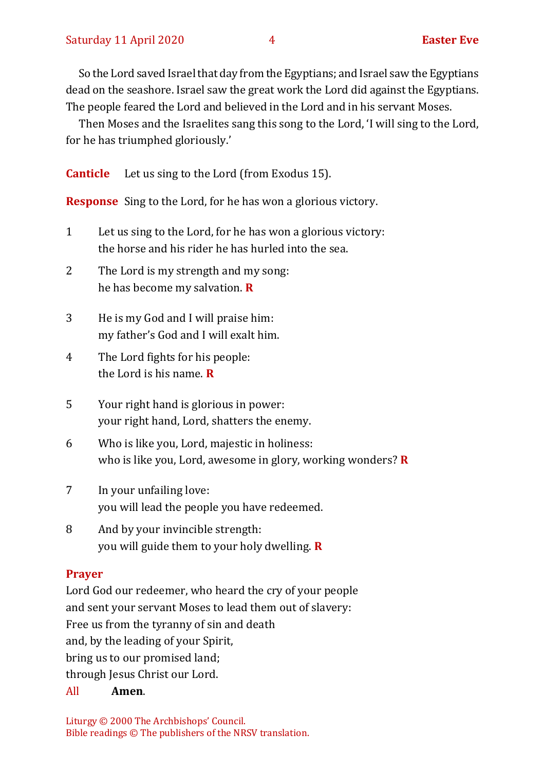So the Lord saved Israel that day from the Egyptians; and Israel saw the Egyptians dead on the seashore. Israel saw the great work the Lord did against the Egyptians. The people feared the Lord and believed in the Lord and in his servant Moses.

Then Moses and the Israelites sang this song to the Lord, 'I will sing to the Lord, for he has triumphed gloriously.'

**Canticle** Let us sing to the Lord (from Exodus 15).

**Response** Sing to the Lord, for he has won a glorious victory.

- 1 Let us sing to the Lord, for he has won a glorious victory: the horse and his rider he has hurled into the sea.
- 2 The Lord is my strength and my song: he has become my salvation. **R**
- 3 He is my God and I will praise him: my father's God and I will exalt him.
- 4 The Lord fights for his people: the Lord is his name. **R**
- 5 Your right hand is glorious in power: your right hand, Lord, shatters the enemy.
- 6 Who is like you, Lord, majestic in holiness: who is like you, Lord, awesome in glory, working wonders? **R**
- 7 In your unfailing love: you will lead the people you have redeemed.
- 8 And by your invincible strength: you will guide them to your holy dwelling. **R**

#### **Prayer**

Lord God our redeemer, who heard the cry of your people and sent your servant Moses to lead them out of slavery: Free us from the tyranny of sin and death and, by the leading of your Spirit, bring us to our promised land; through Jesus Christ our Lord.

All **Amen**.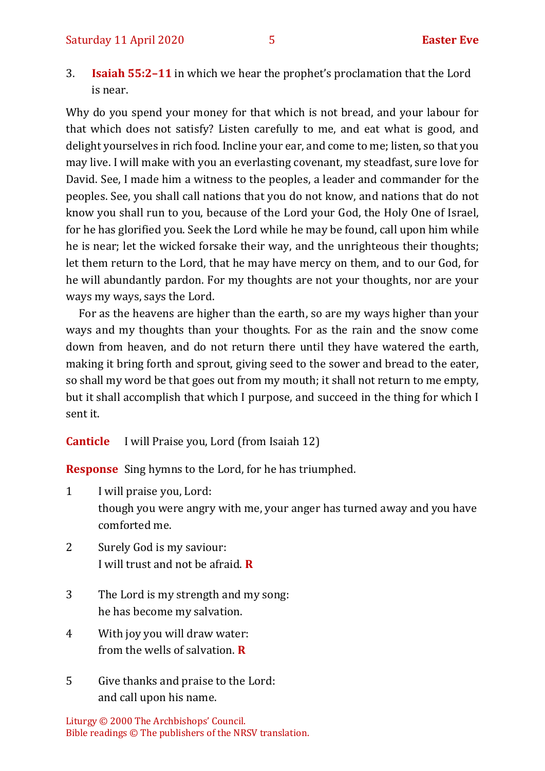3. **Isaiah 55:2–11** in which we hear the prophet's proclamation that the Lord is near.

Why do you spend your money for that which is not bread, and your labour for that which does not satisfy? Listen carefully to me, and eat what is good, and delight yourselves in rich food. Incline your ear, and come to me; listen, so that you may live. I will make with you an everlasting covenant, my steadfast, sure love for David. See, I made him a witness to the peoples, a leader and commander for the peoples. See, you shall call nations that you do not know, and nations that do not know you shall run to you, because of the Lord your God, the Holy One of Israel, for he has glorified you. Seek the Lord while he may be found, call upon him while he is near; let the wicked forsake their way, and the unrighteous their thoughts; let them return to the Lord, that he may have mercy on them, and to our God, for he will abundantly pardon. For my thoughts are not your thoughts, nor are your ways my ways, says the Lord.

For as the heavens are higher than the earth, so are my ways higher than your ways and my thoughts than your thoughts. For as the rain and the snow come down from heaven, and do not return there until they have watered the earth, making it bring forth and sprout, giving seed to the sower and bread to the eater, so shall my word be that goes out from my mouth; it shall not return to me empty, but it shall accomplish that which I purpose, and succeed in the thing for which I sent it.

**Canticle** I will Praise you, Lord (from Isaiah 12)

**Response** Sing hymns to the Lord, for he has triumphed.

1 I will praise you, Lord: though you were angry with me, your anger has turned away and you have comforted me.

- 2 Surely God is my saviour: I will trust and not be afraid. **R**
- 3 The Lord is my strength and my song: he has become my salvation.
- 4 With joy you will draw water: from the wells of salvation. **R**
- 5 Give thanks and praise to the Lord: and call upon his name.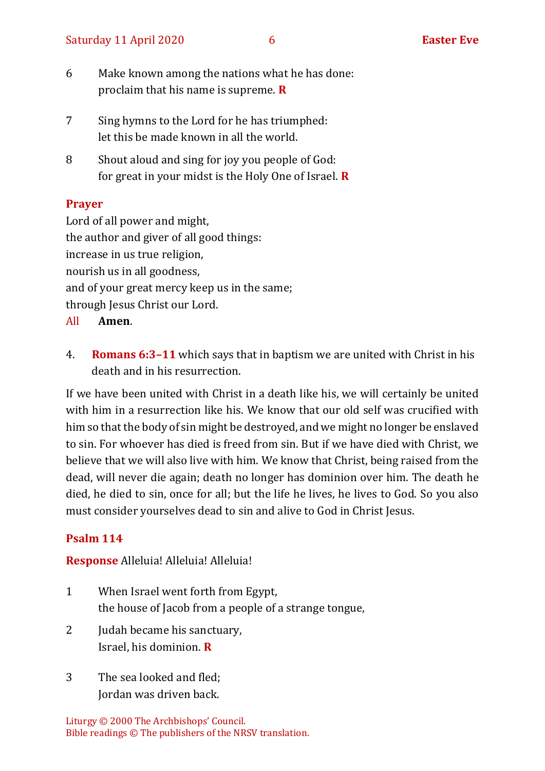- 6 Make known among the nations what he has done: proclaim that his name is supreme. **R**
- 7 Sing hymns to the Lord for he has triumphed: let this be made known in all the world.
- 8 Shout aloud and sing for joy you people of God: for great in your midst is the Holy One of Israel. **R**

#### **Prayer**

Lord of all power and might, the author and giver of all good things: increase in us true religion, nourish us in all goodness, and of your great mercy keep us in the same; through Jesus Christ our Lord.

- All **Amen**.
- 4. **Romans 6:3–11** which says that in baptism we are united with Christ in his death and in his resurrection.

If we have been united with Christ in a death like his, we will certainly be united with him in a resurrection like his. We know that our old self was crucified with him so that the body of sin might be destroyed, and we might no longer be enslaved to sin. For whoever has died is freed from sin. But if we have died with Christ, we believe that we will also live with him. We know that Christ, being raised from the dead, will never die again; death no longer has dominion over him. The death he died, he died to sin, once for all; but the life he lives, he lives to God. So you also must consider yourselves dead to sin and alive to God in Christ Jesus.

# **Psalm 114**

#### **Response** Alleluia! Alleluia! Alleluia!

- 1 When Israel went forth from Egypt, the house of Jacob from a people of a strange tongue,
- 2 Judah became his sanctuary, Israel, his dominion. **R**
- 3 The sea looked and fled; Jordan was driven back.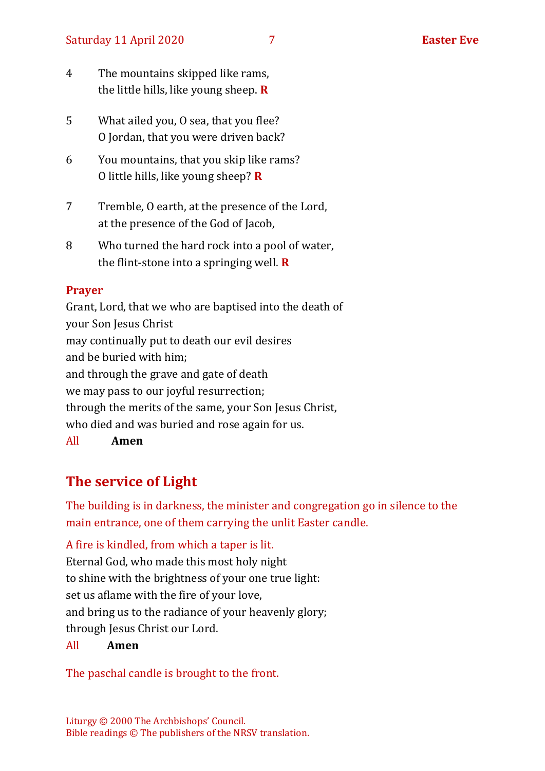- 4 The mountains skipped like rams, the little hills, like young sheep. **R**
- 5 What ailed you, O sea, that you flee? O Jordan, that you were driven back?
- 6 You mountains, that you skip like rams? O little hills, like young sheep? **R**
- 7 Tremble, O earth, at the presence of the Lord, at the presence of the God of Jacob.
- 8 Who turned the hard rock into a pool of water, the flint-stone into a springing well. **R**

#### **Prayer**

Grant, Lord, that we who are baptised into the death of your Son Jesus Christ may continually put to death our evil desires and be buried with him; and through the grave and gate of death we may pass to our joyful resurrection; through the merits of the same, your Son Jesus Christ, who died and was buried and rose again for us. All **Amen**

# **The service of Light**

The building is in darkness, the minister and congregation go in silence to the main entrance, one of them carrying the unlit Easter candle.

A fire is kindled, from which a taper is lit. Eternal God, who made this most holy night to shine with the brightness of your one true light: set us aflame with the fire of your love, and bring us to the radiance of your heavenly glory; through Jesus Christ our Lord.

#### All **Amen**

The paschal candle is brought to the front.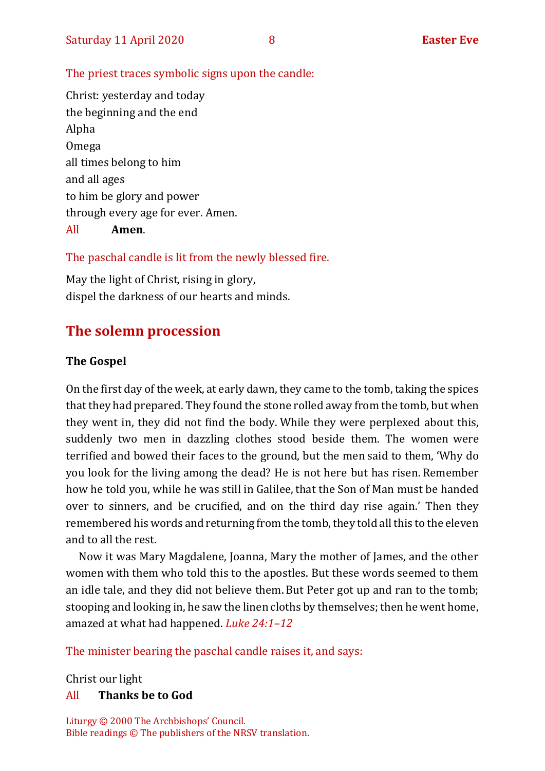#### The priest traces symbolic signs upon the candle:

Christ: yesterday and today the beginning and the end Alpha Omega all times belong to him and all ages to him be glory and power through every age for ever. Amen. All **Amen**.

#### The paschal candle is lit from the newly blessed fire.

May the light of Christ, rising in glory, dispel the darkness of our hearts and minds.

#### **The solemn procession**

#### **The Gospel**

On the first day of the week, at early dawn, they came to the tomb, taking the spices that they had prepared. They found the stone rolled away from the tomb, but when they went in, they did not find the body. While they were perplexed about this, suddenly two men in dazzling clothes stood beside them. The women were terrified and bowed their faces to the ground, but the men said to them, 'Why do you look for the living among the dead? He is not here but has risen. Remember how he told you, while he was still in Galilee, that the Son of Man must be handed over to sinners, and be crucified, and on the third day rise again.' Then they remembered his words and returning from the tomb, they told all this to the eleven and to all the rest.

Now it was Mary Magdalene, Joanna, Mary the mother of James, and the other women with them who told this to the apostles. But these words seemed to them an idle tale, and they did not believe them. But Peter got up and ran to the tomb; stooping and looking in, he saw the linen cloths by themselves; then he went home, amazed at what had happened. *Luke 24:1–12* 

The minister bearing the paschal candle raises it, and says:

Christ our light

#### All **Thanks be to God**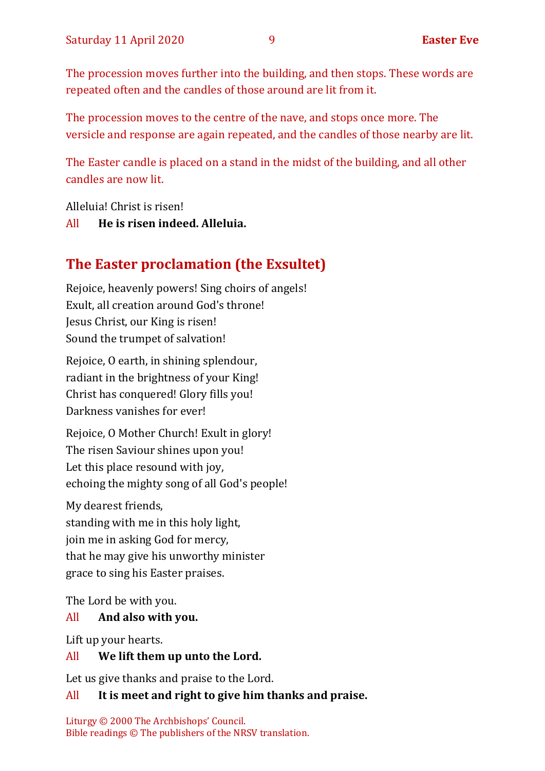The procession moves further into the building, and then stops. These words are repeated often and the candles of those around are lit from it.

The procession moves to the centre of the nave, and stops once more. The versicle and response are again repeated, and the candles of those nearby are lit.

The Easter candle is placed on a stand in the midst of the building, and all other candles are now lit.

Alleluia! Christ is risen!

#### All **He is risen indeed. Alleluia.**

# **The Easter proclamation (the Exsultet)**

Rejoice, heavenly powers! Sing choirs of angels! Exult, all creation around God's throne! Jesus Christ, our King is risen! Sound the trumpet of salvation!

Rejoice, O earth, in shining splendour, radiant in the brightness of your King! Christ has conquered! Glory fills you! Darkness vanishes for ever!

Rejoice, O Mother Church! Exult in glory! The risen Saviour shines upon you! Let this place resound with joy, echoing the mighty song of all God's people!

My dearest friends, standing with me in this holy light, join me in asking God for mercy, that he may give his unworthy minister grace to sing his Easter praises.

The Lord be with you.

#### All **And also with you.**

Lift up your hearts.

#### All **We lift them up unto the Lord.**

Let us give thanks and praise to the Lord.

#### All **It is meet and right to give him thanks and praise.**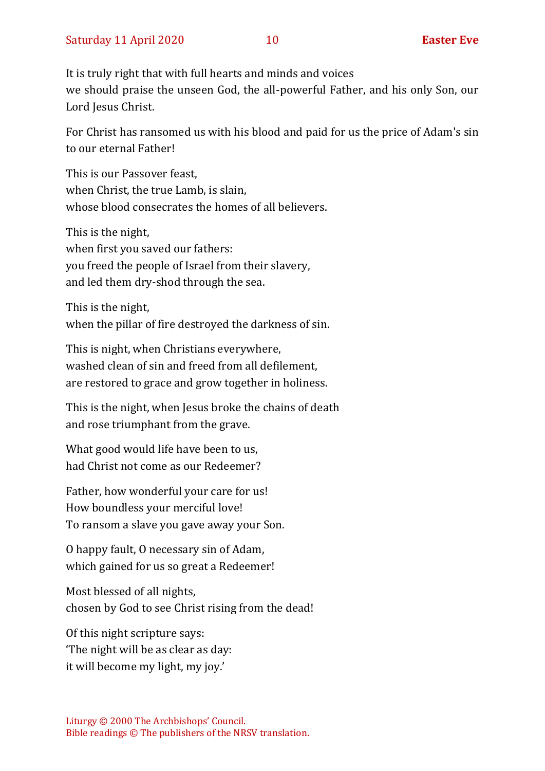It is truly right that with full hearts and minds and voices we should praise the unseen God, the all-powerful Father, and his only Son, our Lord Jesus Christ.

For Christ has ransomed us with his blood and paid for us the price of Adam's sin to our eternal Father!

This is our Passover feast, when Christ, the true Lamb, is slain, whose blood consecrates the homes of all believers.

This is the night, when first you saved our fathers: you freed the people of Israel from their slavery, and led them dry-shod through the sea.

This is the night, when the pillar of fire destroyed the darkness of sin.

This is night, when Christians everywhere, washed clean of sin and freed from all defilement, are restored to grace and grow together in holiness.

This is the night, when Jesus broke the chains of death and rose triumphant from the grave.

What good would life have been to us, had Christ not come as our Redeemer?

Father, how wonderful your care for us! How boundless your merciful love! To ransom a slave you gave away your Son.

O happy fault, O necessary sin of Adam, which gained for us so great a Redeemer!

Most blessed of all nights, chosen by God to see Christ rising from the dead!

Of this night scripture says: 'The night will be as clear as day: it will become my light, my joy.'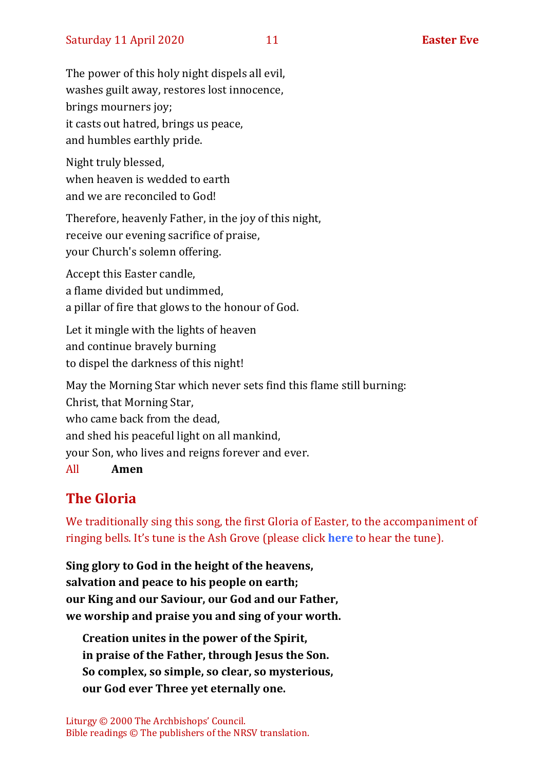The power of this holy night dispels all evil, washes guilt away, restores lost innocence, brings mourners joy; it casts out hatred, brings us peace, and humbles earthly pride.

Night truly blessed, when heaven is wedded to earth and we are reconciled to God!

Therefore, heavenly Father, in the joy of this night, receive our evening sacrifice of praise, your Church's solemn offering.

Accept this Easter candle, a flame divided but undimmed, a pillar of fire that glows to the honour of God.

Let it mingle with the lights of heaven and continue bravely burning to dispel the darkness of this night!

May the Morning Star which never sets find this flame still burning: Christ, that Morning Star, who came back from the dead, and shed his peaceful light on all mankind, your Son, who lives and reigns forever and ever. All **Amen**

# **The Gloria**

We traditionally sing this song, the first Gloria of Easter, to the accompaniment of ringing bells. It's tune is the Ash Grove (please click **[here](https://hymnary.org/tune/ash_grove)** to hear the tune).

**Sing glory to God in the height of the heavens, salvation and peace to his people on earth; our King and our Saviour, our God and our Father, we worship and praise you and sing of your worth.**

**Creation unites in the power of the Spirit, in praise of the Father, through Jesus the Son. So complex, so simple, so clear, so mysterious, our God ever Three yet eternally one.**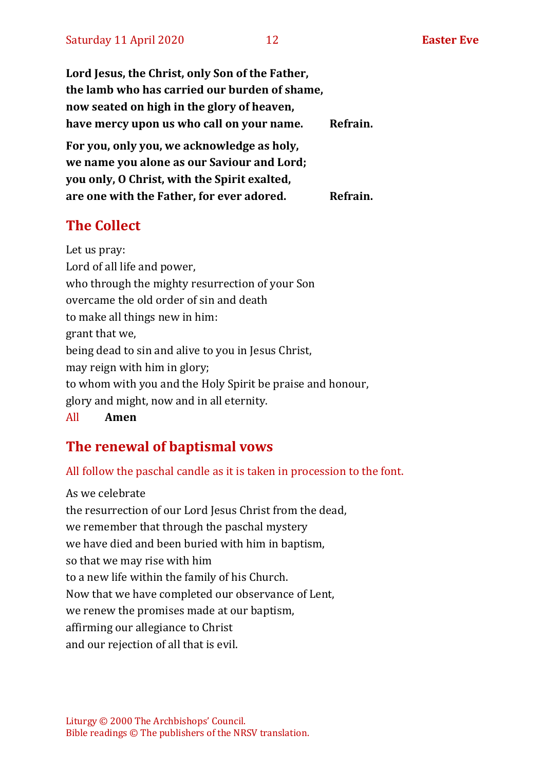**Lord Jesus, the Christ, only Son of the Father, the lamb who has carried our burden of shame, now seated on high in the glory of heaven, have mercy upon us who call on your name. Refrain. For you, only you, we acknowledge as holy, we name you alone as our Saviour and Lord; you only, O Christ, with the Spirit exalted, are one with the Father, for ever adored. Refrain.**

# **The Collect**

Let us pray: Lord of all life and power, who through the mighty resurrection of your Son overcame the old order of sin and death to make all things new in him: grant that we, being dead to sin and alive to you in Jesus Christ, may reign with him in glory; to whom with you and the Holy Spirit be praise and honour, glory and might, now and in all eternity.

All **Amen**

# **The renewal of baptismal vows**

#### All follow the paschal candle as it is taken in procession to the font.

As we celebrate the resurrection of our Lord Jesus Christ from the dead, we remember that through the paschal mystery we have died and been buried with him in baptism, so that we may rise with him to a new life within the family of his Church. Now that we have completed our observance of Lent, we renew the promises made at our baptism, affirming our allegiance to Christ and our rejection of all that is evil.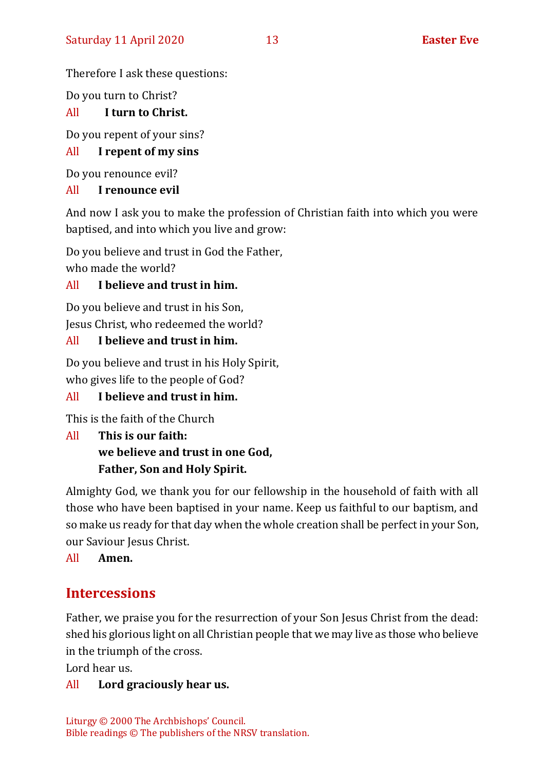Therefore I ask these questions:

Do you turn to Christ?

# All **I turn to Christ.**

Do you repent of your sins?

# All **I repent of my sins**

Do you renounce evil?

# All **I renounce evil**

And now I ask you to make the profession of Christian faith into which you were baptised, and into which you live and grow:

Do you believe and trust in God the Father,

who made the world?

# All **I believe and trust in him.**

Do you believe and trust in his Son, Jesus Christ, who redeemed the world?

# All **I believe and trust in him.**

Do you believe and trust in his Holy Spirit, who gives life to the people of God?

# All **I believe and trust in him.**

This is the faith of the Church

#### All **This is our faith: we believe and trust in one God, Father, Son and Holy Spirit.**

Almighty God, we thank you for our fellowship in the household of faith with all those who have been baptised in your name. Keep us faithful to our baptism, and so make us ready for that day when the whole creation shall be perfect in your Son, our Saviour Jesus Christ.

All **Amen.**

# **Intercessions**

Father, we praise you for the resurrection of your Son Jesus Christ from the dead: shed his glorious light on all Christian people that we may live as those who believe in the triumph of the cross.

Lord hear us.

# All **Lord graciously hear us.**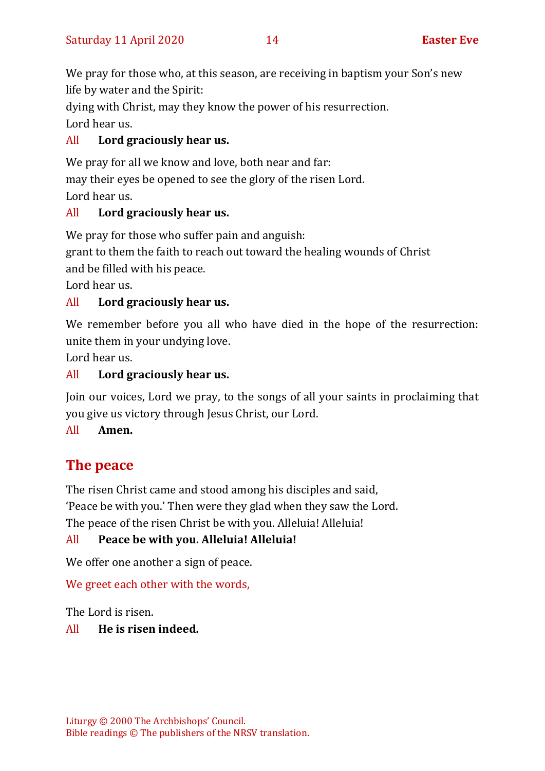We pray for those who, at this season, are receiving in baptism your Son's new life by water and the Spirit:

dying with Christ, may they know the power of his resurrection. Lord hear us.

# All **Lord graciously hear us.**

We pray for all we know and love, both near and far: may their eyes be opened to see the glory of the risen Lord. Lord hear us.

# All **Lord graciously hear us.**

We pray for those who suffer pain and anguish:

grant to them the faith to reach out toward the healing wounds of Christ

and be filled with his peace.

Lord hear us.

# All **Lord graciously hear us.**

We remember before you all who have died in the hope of the resurrection: unite them in your undying love.

Lord hear us.

# All **Lord graciously hear us.**

Join our voices, Lord we pray, to the songs of all your saints in proclaiming that you give us victory through Jesus Christ, our Lord.

# All **Amen.**

# **The peace**

The risen Christ came and stood among his disciples and said,

'Peace be with you.' Then were they glad when they saw the Lord.

The peace of the risen Christ be with you. Alleluia! Alleluia!

# All **Peace be with you. Alleluia! Alleluia!**

We offer one another a sign of peace.

We greet each other with the words,

The Lord is risen.

# All **He is risen indeed.**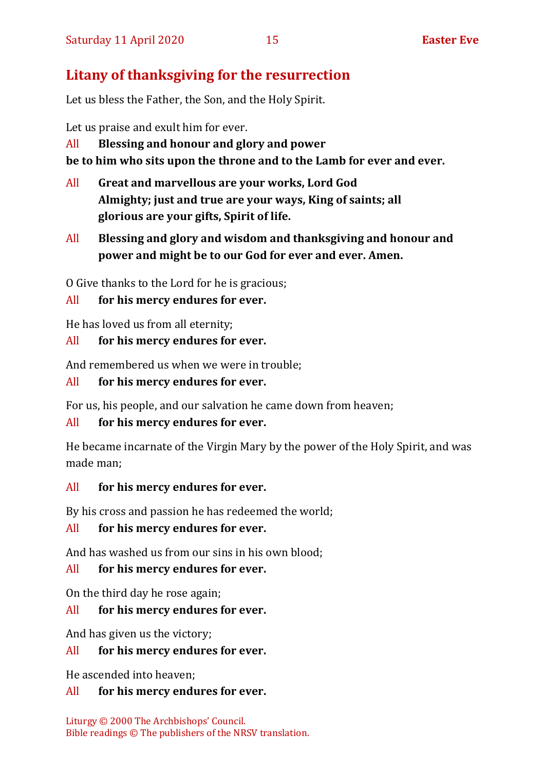# **Litany of thanksgiving for the resurrection**

Let us bless the Father, the Son, and the Holy Spirit.

Let us praise and exult him for ever.

#### All **Blessing and honour and glory and power**

**be to him who sits upon the throne and to the Lamb for ever and ever.**

- All **Great and marvellous are your works, Lord God Almighty; just and true are your ways, King of saints; all glorious are your gifts, Spirit of life.**
- All **Blessing and glory and wisdom and thanksgiving and honour and power and might be to our God for ever and ever. Amen.**

O Give thanks to the Lord for he is gracious;

# All **for his mercy endures for ever.**

He has loved us from all eternity;

#### All **for his mercy endures for ever.**

And remembered us when we were in trouble;

#### All **for his mercy endures for ever.**

For us, his people, and our salvation he came down from heaven;

#### All **for his mercy endures for ever.**

He became incarnate of the Virgin Mary by the power of the Holy Spirit, and was made man;

#### All **for his mercy endures for ever.**

By his cross and passion he has redeemed the world;

#### All **for his mercy endures for ever.**

And has washed us from our sins in his own blood;

# All **for his mercy endures for ever.**

On the third day he rose again;

# All **for his mercy endures for ever.**

And has given us the victory;

#### All **for his mercy endures for ever.**

He ascended into heaven;

#### All **for his mercy endures for ever.**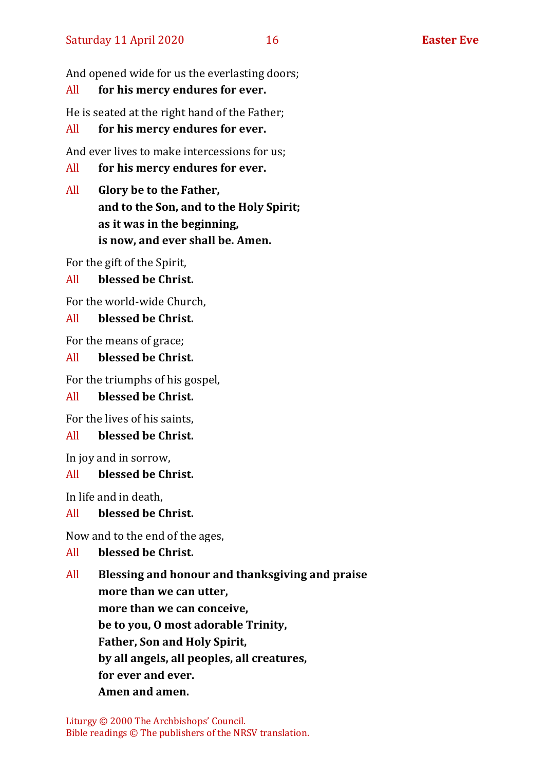And opened wide for us the everlasting doors;

#### All **for his mercy endures for ever.**

He is seated at the right hand of the Father;

#### All **for his mercy endures for ever.**

And ever lives to make intercessions for us;

- All **for his mercy endures for ever.**
- All **Glory be to the Father, and to the Son, and to the Holy Spirit; as it was in the beginning, is now, and ever shall be. Amen.**

For the gift of the Spirit,

All **blessed be Christ.**

For the world-wide Church,

#### All **blessed be Christ.**

For the means of grace;

#### All **blessed be Christ.**

For the triumphs of his gospel,

#### All **blessed be Christ.**

For the lives of his saints,

#### All **blessed be Christ.**

In joy and in sorrow,

#### All **blessed be Christ.**

In life and in death,

#### All **blessed be Christ.**

Now and to the end of the ages,

#### All **blessed be Christ.**

All **Blessing and honour and thanksgiving and praise more than we can utter, more than we can conceive, be to you, O most adorable Trinity, Father, Son and Holy Spirit, by all angels, all peoples, all creatures, for ever and ever. Amen and amen.**